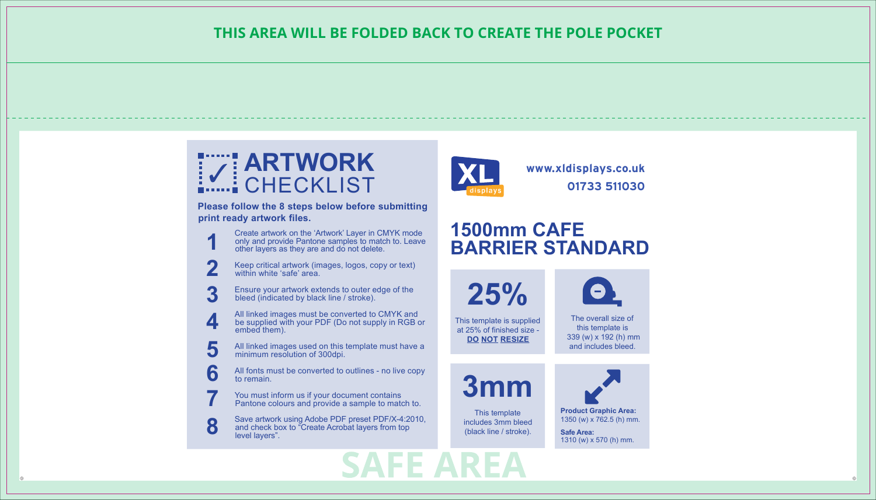

**Please follow the 8 steps below before submitting print ready artwork files.**

- Create artwork on the 'Artwork' Layer in CMYK mode only and provide Pantone samples to match to. Leave other layers as they are and do not delete. **1**
- Keep critical artwork (images, logos, copy or text) within white 'safe' area. **2**
- Ensure your artwork extends to outer edge of the bleed (indicated by black line / stroke). **3**
- All linked images must be converted to CMYK and be supplied with your PDF (Do not supply in RGB or embed them). **4**
- All linked images used on this template must have a minimum resolution of 300dpi. **5**
- All fonts must be converted to outlines no live copy to remain. **6**
- You must inform us if your document contains Pantone colours and provide a sample to match to. **7**
- Save artwork using Adobe PDF preset PDF/X-4:2010, and check box to "Create Acrobat layers from top level layers". **8**



**www.xldisplays.co.uk 01733 511030**



**25%**

This template is supplied at 25% of finished size - **DO NOT RESIZE**

The overall size of this template is 339 (w) x 192 (h) mm and includes bleed.



This template includes 3mm bleed (black line / stroke).

**Product Graphic Area:**  1350 (w) x 762.5 (h) mm. **Safe Area:**  1310 (w) x 570 (h) mm.